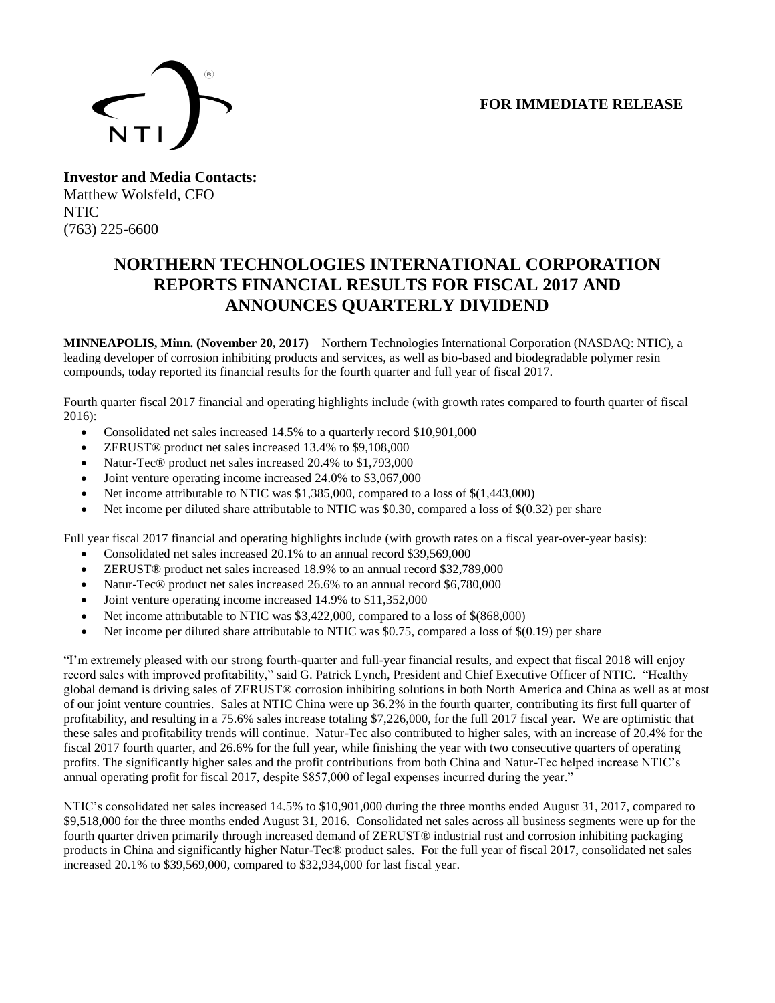## **FOR IMMEDIATE RELEASE**



**Investor and Media Contacts:** Matthew Wolsfeld, CFO NTIC (763) 225-6600

## **NORTHERN TECHNOLOGIES INTERNATIONAL CORPORATION REPORTS FINANCIAL RESULTS FOR FISCAL 2017 AND ANNOUNCES QUARTERLY DIVIDEND**

**MINNEAPOLIS, Minn. (November 20, 2017)** – Northern Technologies International Corporation (NASDAQ: NTIC), a leading developer of corrosion inhibiting products and services, as well as bio-based and biodegradable polymer resin compounds, today reported its financial results for the fourth quarter and full year of fiscal 2017.

Fourth quarter fiscal 2017 financial and operating highlights include (with growth rates compared to fourth quarter of fiscal 2016):

- Consolidated net sales increased 14.5% to a quarterly record \$10,901,000
- **ZERUST<sup>®</sup>** product net sales increased 13.4% to \$9,108,000
- Natur-Tec® product net sales increased 20.4% to \$1,793,000
- Joint venture operating income increased 24.0% to \$3,067,000
- Net income attributable to NTIC was \$1,385,000, compared to a loss of \$(1,443,000)
- Net income per diluted share attributable to NTIC was \$0.30, compared a loss of  $\S(0.32)$  per share

Full year fiscal 2017 financial and operating highlights include (with growth rates on a fiscal year-over-year basis):

- Consolidated net sales increased 20.1% to an annual record \$39,569,000
- ZERUST<sup>®</sup> product net sales increased 18.9% to an annual record \$32,789,000
- Natur-Tec® product net sales increased 26.6% to an annual record \$6,780,000
- Joint venture operating income increased 14.9% to \$11,352,000
- Net income attributable to NTIC was \$3,422,000, compared to a loss of \$(868,000)
- Net income per diluted share attributable to NTIC was  $$0.75$ , compared a loss of  $$(0.19)$  per share

"I'm extremely pleased with our strong fourth-quarter and full-year financial results, and expect that fiscal 2018 will enjoy record sales with improved profitability," said G. Patrick Lynch, President and Chief Executive Officer of NTIC. "Healthy global demand is driving sales of ZERUST® corrosion inhibiting solutions in both North America and China as well as at most of our joint venture countries. Sales at NTIC China were up 36.2% in the fourth quarter, contributing its first full quarter of profitability, and resulting in a 75.6% sales increase totaling \$7,226,000, for the full 2017 fiscal year. We are optimistic that these sales and profitability trends will continue. Natur-Tec also contributed to higher sales, with an increase of 20.4% for the fiscal 2017 fourth quarter, and 26.6% for the full year, while finishing the year with two consecutive quarters of operating profits. The significantly higher sales and the profit contributions from both China and Natur-Tec helped increase NTIC's annual operating profit for fiscal 2017, despite \$857,000 of legal expenses incurred during the year."

NTIC's consolidated net sales increased 14.5% to \$10,901,000 during the three months ended August 31, 2017, compared to \$9,518,000 for the three months ended August 31, 2016. Consolidated net sales across all business segments were up for the fourth quarter driven primarily through increased demand of ZERUST® industrial rust and corrosion inhibiting packaging products in China and significantly higher Natur-Tec® product sales. For the full year of fiscal 2017, consolidated net sales increased 20.1% to \$39,569,000, compared to \$32,934,000 for last fiscal year.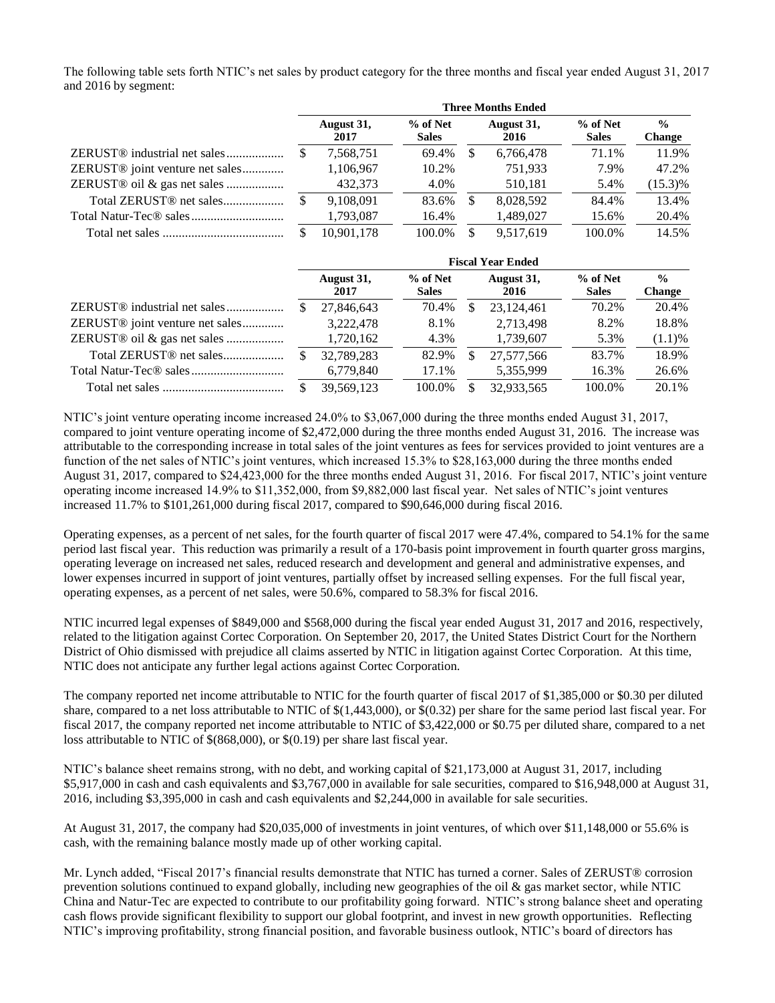The following table sets forth NTIC's net sales by product category for the three months and fiscal year ended August 31, 2017 and 2016 by segment:

|                                             | <b>Three Months Ended</b> |                    |                          |     |                    |                            |                                |
|---------------------------------------------|---------------------------|--------------------|--------------------------|-----|--------------------|----------------------------|--------------------------------|
|                                             |                           | August 31,<br>2017 | % of Net<br><b>Sales</b> |     | August 31,<br>2016 | $%$ of Net<br><b>Sales</b> | $\frac{0}{0}$<br><b>Change</b> |
| ZERUST <sup>®</sup> industrial net sales    |                           | 7,568,751          | 69.4%                    | \$. | 6,766,478          | 71.1%                      | 11.9%                          |
| ZERUST <sup>®</sup> joint venture net sales |                           | 1,106,967          | 10.2%                    |     | 751.933            | 7.9%                       | 47.2%                          |
| ZERUST® oil & gas net sales                 |                           | 432.373            | 4.0%                     |     | 510,181            | 5.4%                       | $(15.3)\%$                     |
| Total ZERUST <sup>®</sup> net sales         |                           | 9.108.091          | 83.6%                    | -S  | 8.028.592          | 84.4%                      | 13.4%                          |
|                                             |                           | 1,793,087          | 16.4%                    |     | 1,489,027          | 15.6%                      | 20.4%                          |
|                                             |                           | 10.901.178         | 100.0%                   |     | 9.517.619          | 100.0%                     | 14.5%                          |

|                                             | <b>Fiscal Year Ended</b> |                    |                          |    |                    |                          |                                |
|---------------------------------------------|--------------------------|--------------------|--------------------------|----|--------------------|--------------------------|--------------------------------|
|                                             |                          | August 31,<br>2017 | % of Net<br><b>Sales</b> |    | August 31,<br>2016 | % of Net<br><b>Sales</b> | $\frac{0}{0}$<br><b>Change</b> |
|                                             |                          | 27,846,643         | 70.4%                    | S  | 23,124,461         | 70.2%                    | 20.4%                          |
| ZERUST <sup>®</sup> joint venture net sales |                          | 3,222,478          | 8.1%                     |    | 2,713,498          | 8.2%                     | 18.8%                          |
| ZERUST® oil & gas net sales                 |                          | 1,720,162          | 4.3%                     |    | 1,739,607          | 5.3%                     | (1.1)%                         |
| Total ZERUST <sup>®</sup> net sales         |                          | 32.789.283         | 82.9%                    | S  | 27,577,566         | 83.7%                    | 18.9%                          |
|                                             |                          | 6,779,840          | 17.1%                    |    | 5,355,999          | 16.3%                    | 26.6%                          |
|                                             |                          | 39.569.123         | 100.0%                   | \$ | 32,933,565         | 100.0%                   | 20.1%                          |

NTIC's joint venture operating income increased 24.0% to \$3,067,000 during the three months ended August 31, 2017, compared to joint venture operating income of \$2,472,000 during the three months ended August 31, 2016. The increase was attributable to the corresponding increase in total sales of the joint ventures as fees for services provided to joint ventures are a function of the net sales of NTIC's joint ventures, which increased 15.3% to \$28,163,000 during the three months ended August 31, 2017, compared to \$24,423,000 for the three months ended August 31, 2016. For fiscal 2017, NTIC's joint venture operating income increased 14.9% to \$11,352,000, from \$9,882,000 last fiscal year. Net sales of NTIC's joint ventures increased 11.7% to \$101,261,000 during fiscal 2017, compared to \$90,646,000 during fiscal 2016.

Operating expenses, as a percent of net sales, for the fourth quarter of fiscal 2017 were 47.4%, compared to 54.1% for the same period last fiscal year. This reduction was primarily a result of a 170-basis point improvement in fourth quarter gross margins, operating leverage on increased net sales, reduced research and development and general and administrative expenses, and lower expenses incurred in support of joint ventures, partially offset by increased selling expenses. For the full fiscal year, operating expenses, as a percent of net sales, were 50.6%, compared to 58.3% for fiscal 2016.

NTIC incurred legal expenses of \$849,000 and \$568,000 during the fiscal year ended August 31, 2017 and 2016, respectively, related to the litigation against Cortec Corporation. On September 20, 2017, the United States District Court for the Northern District of Ohio dismissed with prejudice all claims asserted by NTIC in litigation against Cortec Corporation. At this time, NTIC does not anticipate any further legal actions against Cortec Corporation.

The company reported net income attributable to NTIC for the fourth quarter of fiscal 2017 of \$1,385,000 or \$0.30 per diluted share, compared to a net loss attributable to NTIC of \$(1,443,000), or \$(0.32) per share for the same period last fiscal year. For fiscal 2017, the company reported net income attributable to NTIC of \$3,422,000 or \$0.75 per diluted share, compared to a net loss attributable to NTIC of \$(868,000), or \$(0.19) per share last fiscal year.

NTIC's balance sheet remains strong, with no debt, and working capital of \$21,173,000 at August 31, 2017, including \$5,917,000 in cash and cash equivalents and \$3,767,000 in available for sale securities, compared to \$16,948,000 at August 31, 2016, including \$3,395,000 in cash and cash equivalents and \$2,244,000 in available for sale securities.

At August 31, 2017, the company had \$20,035,000 of investments in joint ventures, of which over \$11,148,000 or 55.6% is cash, with the remaining balance mostly made up of other working capital.

Mr. Lynch added, "Fiscal 2017's financial results demonstrate that NTIC has turned a corner. Sales of ZERUST® corrosion prevention solutions continued to expand globally, including new geographies of the oil  $\&$  gas market sector, while NTIC China and Natur-Tec are expected to contribute to our profitability going forward. NTIC's strong balance sheet and operating cash flows provide significant flexibility to support our global footprint, and invest in new growth opportunities. Reflecting NTIC's improving profitability, strong financial position, and favorable business outlook, NTIC's board of directors has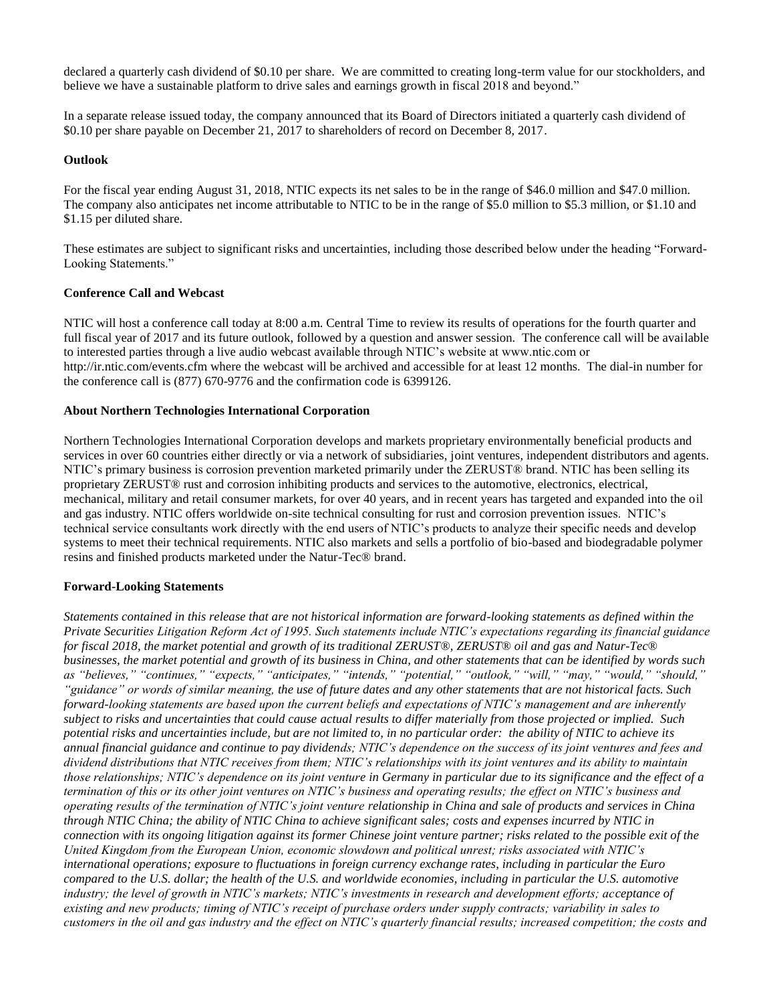declared a quarterly cash dividend of \$0.10 per share. We are committed to creating long-term value for our stockholders, and believe we have a sustainable platform to drive sales and earnings growth in fiscal 2018 and beyond."

In a separate release issued today, the company announced that its Board of Directors initiated a quarterly cash dividend of \$0.10 per share payable on December 21, 2017 to shareholders of record on December 8, 2017.

#### **Outlook**

For the fiscal year ending August 31, 2018, NTIC expects its net sales to be in the range of \$46.0 million and \$47.0 million. The company also anticipates net income attributable to NTIC to be in the range of \$5.0 million to \$5.3 million, or \$1.10 and \$1.15 per diluted share.

These estimates are subject to significant risks and uncertainties, including those described below under the heading "Forward-Looking Statements."

#### **Conference Call and Webcast**

NTIC will host a conference call today at 8:00 a.m. Central Time to review its results of operations for the fourth quarter and full fiscal year of 2017 and its future outlook, followed by a question and answer session. The conference call will be available to interested parties through a live audio webcast available through NTIC's website at www.ntic.com or http://ir.ntic.com/events.cfm where the webcast will be archived and accessible for at least 12 months. The dial-in number for the conference call is (877) 670-9776 and the confirmation code is 6399126.

#### **About Northern Technologies International Corporation**

Northern Technologies International Corporation develops and markets proprietary environmentally beneficial products and services in over 60 countries either directly or via a network of subsidiaries, joint ventures, independent distributors and agents. NTIC's primary business is corrosion prevention marketed primarily under the ZERUST® brand. NTIC has been selling its proprietary ZERUST® rust and corrosion inhibiting products and services to the automotive, electronics, electrical, mechanical, military and retail consumer markets, for over 40 years, and in recent years has targeted and expanded into the oil and gas industry. NTIC offers worldwide on-site technical consulting for rust and corrosion prevention issues. NTIC's technical service consultants work directly with the end users of NTIC's products to analyze their specific needs and develop systems to meet their technical requirements. NTIC also markets and sells a portfolio of bio-based and biodegradable polymer resins and finished products marketed under the Natur-Tec® brand.

#### **Forward-Looking Statements**

*Statements contained in this release that are not historical information are forward-looking statements as defined within the Private Securities Litigation Reform Act of 1995. Such statements include NTIC's expectations regarding its financial guidance for fiscal 2018, the market potential and growth of its traditional ZERUST*®*, ZERUST*® *oil and gas and Natur-Tec*® *businesses, the market potential and growth of its business in China, and other statements that can be identified by words such as "believes," "continues," "expects," "anticipates," "intends," "potential," "outlook," "will," "may," "would," "should," "guidance" or words of similar meaning, the use of future dates and any other statements that are not historical facts. Such forward-looking statements are based upon the current beliefs and expectations of NTIC's management and are inherently subject to risks and uncertainties that could cause actual results to differ materially from those projected or implied. Such potential risks and uncertainties include, but are not limited to, in no particular order: the ability of NTIC to achieve its annual financial guidance and continue to pay dividends; NTIC's dependence on the success of its joint ventures and fees and dividend distributions that NTIC receives from them; NTIC's relationships with its joint ventures and its ability to maintain those relationships; NTIC's dependence on its joint venture in Germany in particular due to its significance and the effect of a termination of this or its other joint ventures on NTIC's business and operating results; the effect on NTIC's business and operating results of the termination of NTIC's joint venture relationship in China and sale of products and services in China through NTIC China; the ability of NTIC China to achieve significant sales; costs and expenses incurred by NTIC in connection with its ongoing litigation against its former Chinese joint venture partner; risks related to the possible exit of the United Kingdom from the European Union, economic slowdown and political unrest; risks associated with NTIC's international operations; exposure to fluctuations in foreign currency exchange rates, including in particular the Euro compared to the U.S. dollar; the health of the U.S. and worldwide economies, including in particular the U.S. automotive industry; the level of growth in NTIC's markets; NTIC's investments in research and development efforts; acceptance of existing and new products; timing of NTIC's receipt of purchase orders under supply contracts; variability in sales to customers in the oil and gas industry and the effect on NTIC's quarterly financial results; increased competition; the costs and*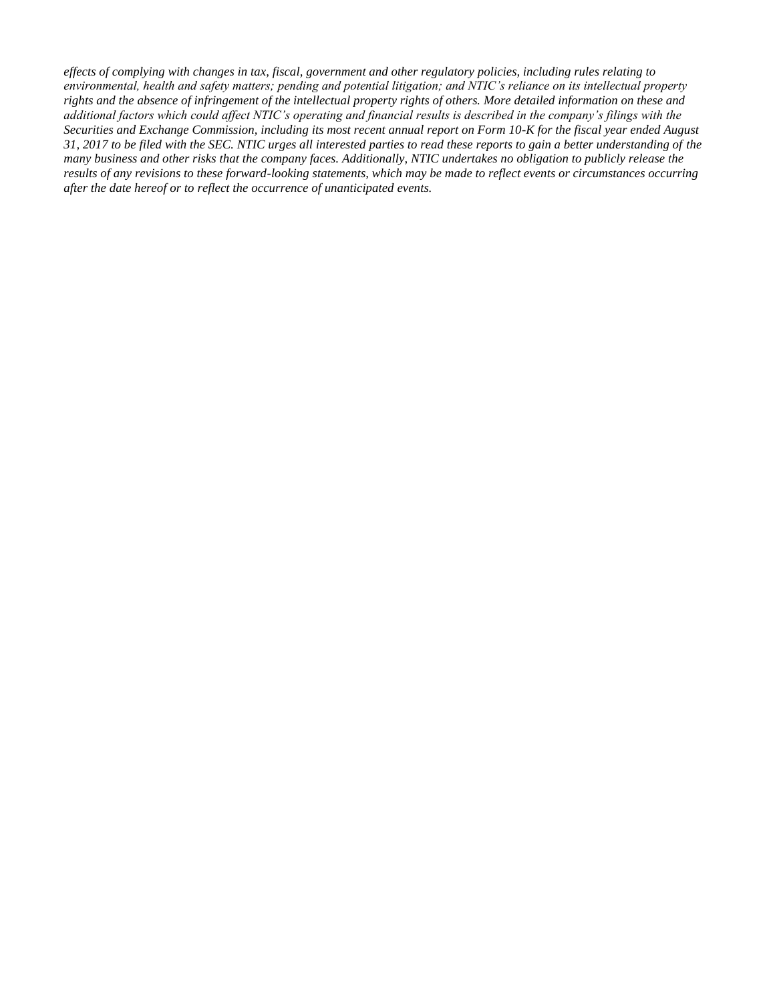*effects of complying with changes in tax, fiscal, government and other regulatory policies, including rules relating to environmental, health and safety matters; pending and potential litigation; and NTIC's reliance on its intellectual property rights and the absence of infringement of the intellectual property rights of others. More detailed information on these and additional factors which could affect NTIC's operating and financial results is described in the company's filings with the Securities and Exchange Commission, including its most recent annual report on Form 10-K for the fiscal year ended August 31, 2017 to be filed with the SEC. NTIC urges all interested parties to read these reports to gain a better understanding of the many business and other risks that the company faces. Additionally, NTIC undertakes no obligation to publicly release the results of any revisions to these forward-looking statements, which may be made to reflect events or circumstances occurring after the date hereof or to reflect the occurrence of unanticipated events.*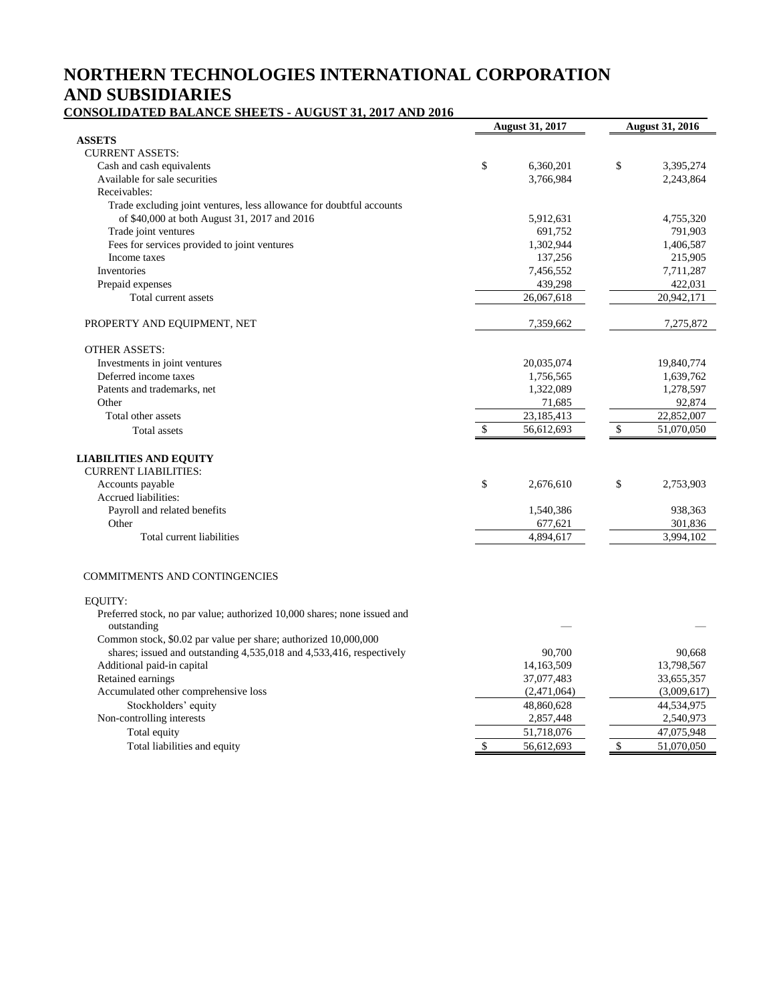# **NORTHERN TECHNOLOGIES INTERNATIONAL CORPORATION AND SUBSIDIARIES**

#### **CONSOLIDATED BALANCE SHEETS - AUGUST 31, 2017 AND 2016**

| <b>ASSETS</b><br><b>CURRENT ASSETS:</b><br>\$<br>\$<br>Cash and cash equivalents<br>6,360,201<br>3,395,274<br>Available for sale securities<br>3,766,984<br>2,243,864<br>Receivables:<br>Trade excluding joint ventures, less allowance for doubtful accounts<br>of \$40,000 at both August 31, 2017 and 2016<br>5,912,631<br>4,755,320<br>791,903<br>Trade joint ventures<br>691,752<br>Fees for services provided to joint ventures<br>1,302,944<br>1,406,587<br>Income taxes<br>137,256<br>215,905<br>Inventories<br>7,456,552<br>7,711,287<br>439,298<br>Prepaid expenses<br>422,031<br>Total current assets<br>26,067,618<br>20,942,171<br>7,359,662<br>PROPERTY AND EQUIPMENT, NET<br>7,275,872<br><b>OTHER ASSETS:</b><br>Investments in joint ventures<br>20,035,074<br>19,840,774<br>Deferred income taxes<br>1,639,762<br>1,756,565<br>Patents and trademarks, net<br>1,322,089<br>1,278,597<br>Other<br>92,874<br>71,685<br>23,185,413<br>Total other assets<br>22,852,007<br>$\mathsf{\$}$<br>\$<br>56,612,693<br>51,070,050<br>Total assets<br><b>LIABILITIES AND EQUITY</b><br><b>CURRENT LIABILITIES:</b><br>\$<br>\$<br>Accounts payable<br>2,676,610<br>2,753,903<br>Accrued liabilities:<br>Payroll and related benefits<br>938,363<br>1,540,386<br>Other<br>301,836<br>677,621<br>4,894,617<br>3,994,102<br>Total current liabilities<br><b>COMMITMENTS AND CONTINGENCIES</b><br>EOUITY:<br>Preferred stock, no par value; authorized 10,000 shares; none issued and<br>outstanding<br>Common stock, \$0.02 par value per share; authorized 10,000,000<br>shares; issued and outstanding 4,535,018 and 4,533,416, respectively<br>90,700<br>90,668<br>Additional paid-in capital<br>14,163,509<br>13,798,567<br>Retained earnings<br>37,077,483<br>33,655,357<br>Accumulated other comprehensive loss<br>(2,471,064)<br>(3,009,617)<br>Stockholders' equity<br>48,860,628<br>44,534,975<br>2,857,448<br>2,540,973<br>Non-controlling interests<br>51,718,076<br>47,075,948<br>Total equity<br>\$<br>\$<br>Total liabilities and equity<br>56,612,693<br>51,070,050 | <b>August 31, 2017</b> | <b>August 31, 2016</b> |  |
|---------------------------------------------------------------------------------------------------------------------------------------------------------------------------------------------------------------------------------------------------------------------------------------------------------------------------------------------------------------------------------------------------------------------------------------------------------------------------------------------------------------------------------------------------------------------------------------------------------------------------------------------------------------------------------------------------------------------------------------------------------------------------------------------------------------------------------------------------------------------------------------------------------------------------------------------------------------------------------------------------------------------------------------------------------------------------------------------------------------------------------------------------------------------------------------------------------------------------------------------------------------------------------------------------------------------------------------------------------------------------------------------------------------------------------------------------------------------------------------------------------------------------------------------------------------------------------------------------------------------------------------------------------------------------------------------------------------------------------------------------------------------------------------------------------------------------------------------------------------------------------------------------------------------------------------------------------------------------------------------------------------------------------------------------------------------------------------|------------------------|------------------------|--|
|                                                                                                                                                                                                                                                                                                                                                                                                                                                                                                                                                                                                                                                                                                                                                                                                                                                                                                                                                                                                                                                                                                                                                                                                                                                                                                                                                                                                                                                                                                                                                                                                                                                                                                                                                                                                                                                                                                                                                                                                                                                                                       |                        |                        |  |
|                                                                                                                                                                                                                                                                                                                                                                                                                                                                                                                                                                                                                                                                                                                                                                                                                                                                                                                                                                                                                                                                                                                                                                                                                                                                                                                                                                                                                                                                                                                                                                                                                                                                                                                                                                                                                                                                                                                                                                                                                                                                                       |                        |                        |  |
|                                                                                                                                                                                                                                                                                                                                                                                                                                                                                                                                                                                                                                                                                                                                                                                                                                                                                                                                                                                                                                                                                                                                                                                                                                                                                                                                                                                                                                                                                                                                                                                                                                                                                                                                                                                                                                                                                                                                                                                                                                                                                       |                        |                        |  |
|                                                                                                                                                                                                                                                                                                                                                                                                                                                                                                                                                                                                                                                                                                                                                                                                                                                                                                                                                                                                                                                                                                                                                                                                                                                                                                                                                                                                                                                                                                                                                                                                                                                                                                                                                                                                                                                                                                                                                                                                                                                                                       |                        |                        |  |
|                                                                                                                                                                                                                                                                                                                                                                                                                                                                                                                                                                                                                                                                                                                                                                                                                                                                                                                                                                                                                                                                                                                                                                                                                                                                                                                                                                                                                                                                                                                                                                                                                                                                                                                                                                                                                                                                                                                                                                                                                                                                                       |                        |                        |  |
|                                                                                                                                                                                                                                                                                                                                                                                                                                                                                                                                                                                                                                                                                                                                                                                                                                                                                                                                                                                                                                                                                                                                                                                                                                                                                                                                                                                                                                                                                                                                                                                                                                                                                                                                                                                                                                                                                                                                                                                                                                                                                       |                        |                        |  |
|                                                                                                                                                                                                                                                                                                                                                                                                                                                                                                                                                                                                                                                                                                                                                                                                                                                                                                                                                                                                                                                                                                                                                                                                                                                                                                                                                                                                                                                                                                                                                                                                                                                                                                                                                                                                                                                                                                                                                                                                                                                                                       |                        |                        |  |
|                                                                                                                                                                                                                                                                                                                                                                                                                                                                                                                                                                                                                                                                                                                                                                                                                                                                                                                                                                                                                                                                                                                                                                                                                                                                                                                                                                                                                                                                                                                                                                                                                                                                                                                                                                                                                                                                                                                                                                                                                                                                                       |                        |                        |  |
|                                                                                                                                                                                                                                                                                                                                                                                                                                                                                                                                                                                                                                                                                                                                                                                                                                                                                                                                                                                                                                                                                                                                                                                                                                                                                                                                                                                                                                                                                                                                                                                                                                                                                                                                                                                                                                                                                                                                                                                                                                                                                       |                        |                        |  |
|                                                                                                                                                                                                                                                                                                                                                                                                                                                                                                                                                                                                                                                                                                                                                                                                                                                                                                                                                                                                                                                                                                                                                                                                                                                                                                                                                                                                                                                                                                                                                                                                                                                                                                                                                                                                                                                                                                                                                                                                                                                                                       |                        |                        |  |
|                                                                                                                                                                                                                                                                                                                                                                                                                                                                                                                                                                                                                                                                                                                                                                                                                                                                                                                                                                                                                                                                                                                                                                                                                                                                                                                                                                                                                                                                                                                                                                                                                                                                                                                                                                                                                                                                                                                                                                                                                                                                                       |                        |                        |  |
|                                                                                                                                                                                                                                                                                                                                                                                                                                                                                                                                                                                                                                                                                                                                                                                                                                                                                                                                                                                                                                                                                                                                                                                                                                                                                                                                                                                                                                                                                                                                                                                                                                                                                                                                                                                                                                                                                                                                                                                                                                                                                       |                        |                        |  |
|                                                                                                                                                                                                                                                                                                                                                                                                                                                                                                                                                                                                                                                                                                                                                                                                                                                                                                                                                                                                                                                                                                                                                                                                                                                                                                                                                                                                                                                                                                                                                                                                                                                                                                                                                                                                                                                                                                                                                                                                                                                                                       |                        |                        |  |
|                                                                                                                                                                                                                                                                                                                                                                                                                                                                                                                                                                                                                                                                                                                                                                                                                                                                                                                                                                                                                                                                                                                                                                                                                                                                                                                                                                                                                                                                                                                                                                                                                                                                                                                                                                                                                                                                                                                                                                                                                                                                                       |                        |                        |  |
|                                                                                                                                                                                                                                                                                                                                                                                                                                                                                                                                                                                                                                                                                                                                                                                                                                                                                                                                                                                                                                                                                                                                                                                                                                                                                                                                                                                                                                                                                                                                                                                                                                                                                                                                                                                                                                                                                                                                                                                                                                                                                       |                        |                        |  |
|                                                                                                                                                                                                                                                                                                                                                                                                                                                                                                                                                                                                                                                                                                                                                                                                                                                                                                                                                                                                                                                                                                                                                                                                                                                                                                                                                                                                                                                                                                                                                                                                                                                                                                                                                                                                                                                                                                                                                                                                                                                                                       |                        |                        |  |
|                                                                                                                                                                                                                                                                                                                                                                                                                                                                                                                                                                                                                                                                                                                                                                                                                                                                                                                                                                                                                                                                                                                                                                                                                                                                                                                                                                                                                                                                                                                                                                                                                                                                                                                                                                                                                                                                                                                                                                                                                                                                                       |                        |                        |  |
|                                                                                                                                                                                                                                                                                                                                                                                                                                                                                                                                                                                                                                                                                                                                                                                                                                                                                                                                                                                                                                                                                                                                                                                                                                                                                                                                                                                                                                                                                                                                                                                                                                                                                                                                                                                                                                                                                                                                                                                                                                                                                       |                        |                        |  |
|                                                                                                                                                                                                                                                                                                                                                                                                                                                                                                                                                                                                                                                                                                                                                                                                                                                                                                                                                                                                                                                                                                                                                                                                                                                                                                                                                                                                                                                                                                                                                                                                                                                                                                                                                                                                                                                                                                                                                                                                                                                                                       |                        |                        |  |
|                                                                                                                                                                                                                                                                                                                                                                                                                                                                                                                                                                                                                                                                                                                                                                                                                                                                                                                                                                                                                                                                                                                                                                                                                                                                                                                                                                                                                                                                                                                                                                                                                                                                                                                                                                                                                                                                                                                                                                                                                                                                                       |                        |                        |  |
|                                                                                                                                                                                                                                                                                                                                                                                                                                                                                                                                                                                                                                                                                                                                                                                                                                                                                                                                                                                                                                                                                                                                                                                                                                                                                                                                                                                                                                                                                                                                                                                                                                                                                                                                                                                                                                                                                                                                                                                                                                                                                       |                        |                        |  |
|                                                                                                                                                                                                                                                                                                                                                                                                                                                                                                                                                                                                                                                                                                                                                                                                                                                                                                                                                                                                                                                                                                                                                                                                                                                                                                                                                                                                                                                                                                                                                                                                                                                                                                                                                                                                                                                                                                                                                                                                                                                                                       |                        |                        |  |
|                                                                                                                                                                                                                                                                                                                                                                                                                                                                                                                                                                                                                                                                                                                                                                                                                                                                                                                                                                                                                                                                                                                                                                                                                                                                                                                                                                                                                                                                                                                                                                                                                                                                                                                                                                                                                                                                                                                                                                                                                                                                                       |                        |                        |  |
|                                                                                                                                                                                                                                                                                                                                                                                                                                                                                                                                                                                                                                                                                                                                                                                                                                                                                                                                                                                                                                                                                                                                                                                                                                                                                                                                                                                                                                                                                                                                                                                                                                                                                                                                                                                                                                                                                                                                                                                                                                                                                       |                        |                        |  |
|                                                                                                                                                                                                                                                                                                                                                                                                                                                                                                                                                                                                                                                                                                                                                                                                                                                                                                                                                                                                                                                                                                                                                                                                                                                                                                                                                                                                                                                                                                                                                                                                                                                                                                                                                                                                                                                                                                                                                                                                                                                                                       |                        |                        |  |
|                                                                                                                                                                                                                                                                                                                                                                                                                                                                                                                                                                                                                                                                                                                                                                                                                                                                                                                                                                                                                                                                                                                                                                                                                                                                                                                                                                                                                                                                                                                                                                                                                                                                                                                                                                                                                                                                                                                                                                                                                                                                                       |                        |                        |  |
|                                                                                                                                                                                                                                                                                                                                                                                                                                                                                                                                                                                                                                                                                                                                                                                                                                                                                                                                                                                                                                                                                                                                                                                                                                                                                                                                                                                                                                                                                                                                                                                                                                                                                                                                                                                                                                                                                                                                                                                                                                                                                       |                        |                        |  |
|                                                                                                                                                                                                                                                                                                                                                                                                                                                                                                                                                                                                                                                                                                                                                                                                                                                                                                                                                                                                                                                                                                                                                                                                                                                                                                                                                                                                                                                                                                                                                                                                                                                                                                                                                                                                                                                                                                                                                                                                                                                                                       |                        |                        |  |
|                                                                                                                                                                                                                                                                                                                                                                                                                                                                                                                                                                                                                                                                                                                                                                                                                                                                                                                                                                                                                                                                                                                                                                                                                                                                                                                                                                                                                                                                                                                                                                                                                                                                                                                                                                                                                                                                                                                                                                                                                                                                                       |                        |                        |  |
|                                                                                                                                                                                                                                                                                                                                                                                                                                                                                                                                                                                                                                                                                                                                                                                                                                                                                                                                                                                                                                                                                                                                                                                                                                                                                                                                                                                                                                                                                                                                                                                                                                                                                                                                                                                                                                                                                                                                                                                                                                                                                       |                        |                        |  |
|                                                                                                                                                                                                                                                                                                                                                                                                                                                                                                                                                                                                                                                                                                                                                                                                                                                                                                                                                                                                                                                                                                                                                                                                                                                                                                                                                                                                                                                                                                                                                                                                                                                                                                                                                                                                                                                                                                                                                                                                                                                                                       |                        |                        |  |
|                                                                                                                                                                                                                                                                                                                                                                                                                                                                                                                                                                                                                                                                                                                                                                                                                                                                                                                                                                                                                                                                                                                                                                                                                                                                                                                                                                                                                                                                                                                                                                                                                                                                                                                                                                                                                                                                                                                                                                                                                                                                                       |                        |                        |  |
|                                                                                                                                                                                                                                                                                                                                                                                                                                                                                                                                                                                                                                                                                                                                                                                                                                                                                                                                                                                                                                                                                                                                                                                                                                                                                                                                                                                                                                                                                                                                                                                                                                                                                                                                                                                                                                                                                                                                                                                                                                                                                       |                        |                        |  |
|                                                                                                                                                                                                                                                                                                                                                                                                                                                                                                                                                                                                                                                                                                                                                                                                                                                                                                                                                                                                                                                                                                                                                                                                                                                                                                                                                                                                                                                                                                                                                                                                                                                                                                                                                                                                                                                                                                                                                                                                                                                                                       |                        |                        |  |
|                                                                                                                                                                                                                                                                                                                                                                                                                                                                                                                                                                                                                                                                                                                                                                                                                                                                                                                                                                                                                                                                                                                                                                                                                                                                                                                                                                                                                                                                                                                                                                                                                                                                                                                                                                                                                                                                                                                                                                                                                                                                                       |                        |                        |  |
|                                                                                                                                                                                                                                                                                                                                                                                                                                                                                                                                                                                                                                                                                                                                                                                                                                                                                                                                                                                                                                                                                                                                                                                                                                                                                                                                                                                                                                                                                                                                                                                                                                                                                                                                                                                                                                                                                                                                                                                                                                                                                       |                        |                        |  |
|                                                                                                                                                                                                                                                                                                                                                                                                                                                                                                                                                                                                                                                                                                                                                                                                                                                                                                                                                                                                                                                                                                                                                                                                                                                                                                                                                                                                                                                                                                                                                                                                                                                                                                                                                                                                                                                                                                                                                                                                                                                                                       |                        |                        |  |
|                                                                                                                                                                                                                                                                                                                                                                                                                                                                                                                                                                                                                                                                                                                                                                                                                                                                                                                                                                                                                                                                                                                                                                                                                                                                                                                                                                                                                                                                                                                                                                                                                                                                                                                                                                                                                                                                                                                                                                                                                                                                                       |                        |                        |  |
|                                                                                                                                                                                                                                                                                                                                                                                                                                                                                                                                                                                                                                                                                                                                                                                                                                                                                                                                                                                                                                                                                                                                                                                                                                                                                                                                                                                                                                                                                                                                                                                                                                                                                                                                                                                                                                                                                                                                                                                                                                                                                       |                        |                        |  |
|                                                                                                                                                                                                                                                                                                                                                                                                                                                                                                                                                                                                                                                                                                                                                                                                                                                                                                                                                                                                                                                                                                                                                                                                                                                                                                                                                                                                                                                                                                                                                                                                                                                                                                                                                                                                                                                                                                                                                                                                                                                                                       |                        |                        |  |
|                                                                                                                                                                                                                                                                                                                                                                                                                                                                                                                                                                                                                                                                                                                                                                                                                                                                                                                                                                                                                                                                                                                                                                                                                                                                                                                                                                                                                                                                                                                                                                                                                                                                                                                                                                                                                                                                                                                                                                                                                                                                                       |                        |                        |  |
|                                                                                                                                                                                                                                                                                                                                                                                                                                                                                                                                                                                                                                                                                                                                                                                                                                                                                                                                                                                                                                                                                                                                                                                                                                                                                                                                                                                                                                                                                                                                                                                                                                                                                                                                                                                                                                                                                                                                                                                                                                                                                       |                        |                        |  |